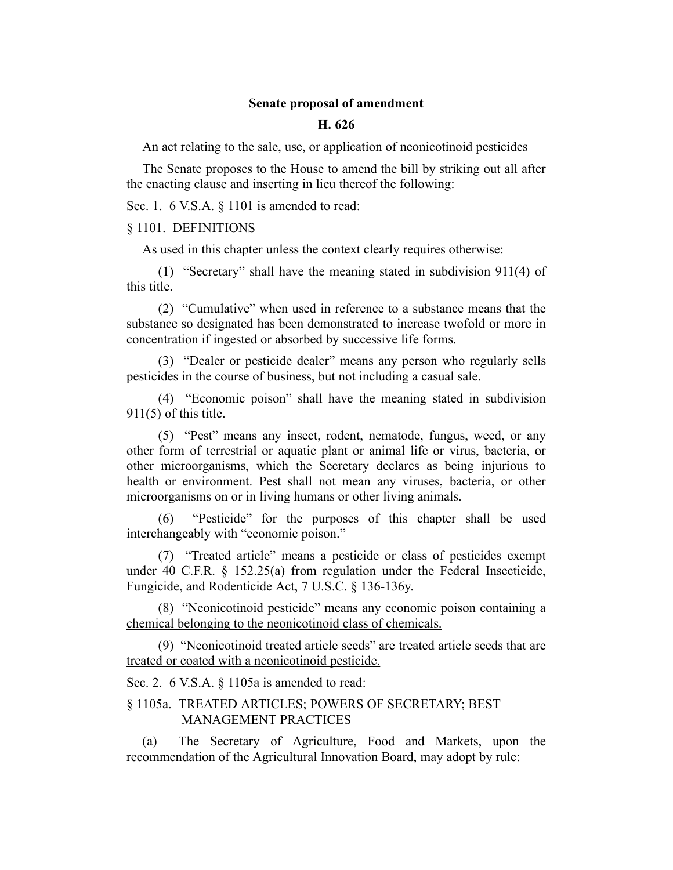## **Senate proposal of amendment**

## **H. 626**

An act relating to the sale, use, or application of neonicotinoid pesticides

The Senate proposes to the House to amend the bill by striking out all after the enacting clause and inserting in lieu thereof the following:

Sec. 1. 6 V.S.A. § 1101 is amended to read:

§ 1101. DEFINITIONS

As used in this chapter unless the context clearly requires otherwise:

(1) "Secretary" shall have the meaning stated in subdivision 911(4) of this title.

(2) "Cumulative" when used in reference to a substance means that the substance so designated has been demonstrated to increase twofold or more in concentration if ingested or absorbed by successive life forms.

(3) "Dealer or pesticide dealer" means any person who regularly sells pesticides in the course of business, but not including a casual sale.

(4) "Economic poison" shall have the meaning stated in subdivision 911(5) of this title.

(5) "Pest" means any insect, rodent, nematode, fungus, weed, or any other form of terrestrial or aquatic plant or animal life or virus, bacteria, or other microorganisms, which the Secretary declares as being injurious to health or environment. Pest shall not mean any viruses, bacteria, or other microorganisms on or in living humans or other living animals.

(6) "Pesticide" for the purposes of this chapter shall be used interchangeably with "economic poison."

(7) "Treated article" means a pesticide or class of pesticides exempt under 40 C.F.R. § 152.25(a) from regulation under the Federal Insecticide, Fungicide, and Rodenticide Act, 7 U.S.C. § 136-136y.

(8) "Neonicotinoid pesticide" means any economic poison containing a chemical belonging to the neonicotinoid class of chemicals.

(9) "Neonicotinoid treated article seeds" are treated article seeds that are treated or coated with a neonicotinoid pesticide.

Sec. 2. 6 V.S.A. § 1105a is amended to read:

## § 1105a. TREATED ARTICLES; POWERS OF SECRETARY; BEST MANAGEMENT PRACTICES

(a) The Secretary of Agriculture, Food and Markets, upon the recommendation of the Agricultural Innovation Board, may adopt by rule: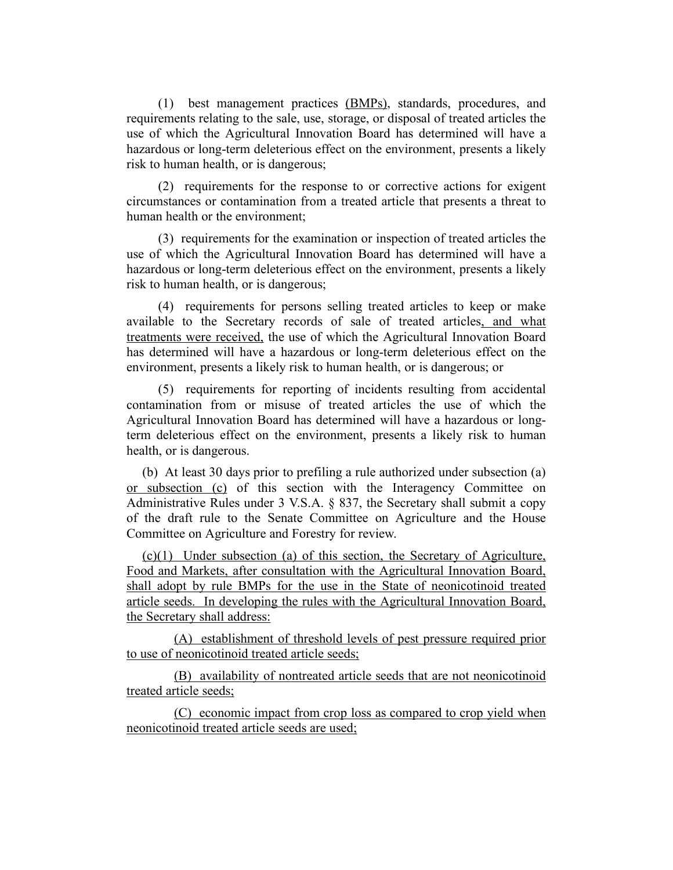(1) best management practices (BMPs), standards, procedures, and requirements relating to the sale, use, storage, or disposal of treated articles the use of which the Agricultural Innovation Board has determined will have a hazardous or long-term deleterious effect on the environment, presents a likely risk to human health, or is dangerous;

(2) requirements for the response to or corrective actions for exigent circumstances or contamination from a treated article that presents a threat to human health or the environment;

(3) requirements for the examination or inspection of treated articles the use of which the Agricultural Innovation Board has determined will have a hazardous or long-term deleterious effect on the environment, presents a likely risk to human health, or is dangerous;

(4) requirements for persons selling treated articles to keep or make available to the Secretary records of sale of treated articles, and what treatments were received, the use of which the Agricultural Innovation Board has determined will have a hazardous or long-term deleterious effect on the environment, presents a likely risk to human health, or is dangerous; or

(5) requirements for reporting of incidents resulting from accidental contamination from or misuse of treated articles the use of which the Agricultural Innovation Board has determined will have a hazardous or longterm deleterious effect on the environment, presents a likely risk to human health, or is dangerous.

(b) At least 30 days prior to prefiling a rule authorized under subsection (a) or subsection (c) of this section with the Interagency Committee on Administrative Rules under 3 V.S.A. § 837, the Secretary shall submit a copy of the draft rule to the Senate Committee on Agriculture and the House Committee on Agriculture and Forestry for review.

(c)(1) Under subsection (a) of this section, the Secretary of Agriculture, Food and Markets, after consultation with the Agricultural Innovation Board, shall adopt by rule BMPs for the use in the State of neonicotinoid treated article seeds. In developing the rules with the Agricultural Innovation Board, the Secretary shall address:

(A) establishment of threshold levels of pest pressure required prior to use of neonicotinoid treated article seeds;

(B) availability of nontreated article seeds that are not neonicotinoid treated article seeds;

(C) economic impact from crop loss as compared to crop yield when neonicotinoid treated article seeds are used;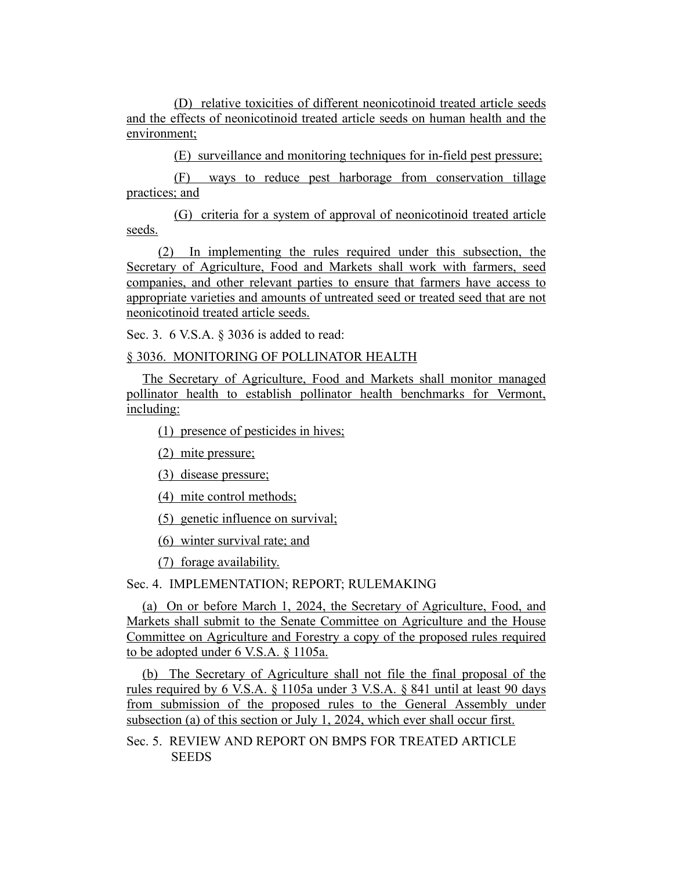(D) relative toxicities of different neonicotinoid treated article seeds and the effects of neonicotinoid treated article seeds on human health and the environment;

(E) surveillance and monitoring techniques for in-field pest pressure;

(F) ways to reduce pest harborage from conservation tillage practices; and

(G) criteria for a system of approval of neonicotinoid treated article seeds.

(2) In implementing the rules required under this subsection, the Secretary of Agriculture, Food and Markets shall work with farmers, seed companies, and other relevant parties to ensure that farmers have access to appropriate varieties and amounts of untreated seed or treated seed that are not neonicotinoid treated article seeds.

Sec. 3. 6 V.S.A. § 3036 is added to read:

## § 3036. MONITORING OF POLLINATOR HEALTH

The Secretary of Agriculture, Food and Markets shall monitor managed pollinator health to establish pollinator health benchmarks for Vermont, including:

(1) presence of pesticides in hives;

(2) mite pressure;

(3) disease pressure;

(4) mite control methods;

(5) genetic influence on survival;

(6) winter survival rate; and

(7) forage availability.

Sec. 4. IMPLEMENTATION; REPORT; RULEMAKING

(a) On or before March 1, 2024, the Secretary of Agriculture, Food, and Markets shall submit to the Senate Committee on Agriculture and the House Committee on Agriculture and Forestry a copy of the proposed rules required to be adopted under 6 V.S.A. § 1105a.

(b) The Secretary of Agriculture shall not file the final proposal of the rules required by 6 V.S.A. § 1105a under 3 V.S.A. § 841 until at least 90 days from submission of the proposed rules to the General Assembly under subsection (a) of this section or July 1, 2024, which ever shall occur first.

Sec. 5. REVIEW AND REPORT ON BMPS FOR TREATED ARTICLE **SEEDS**